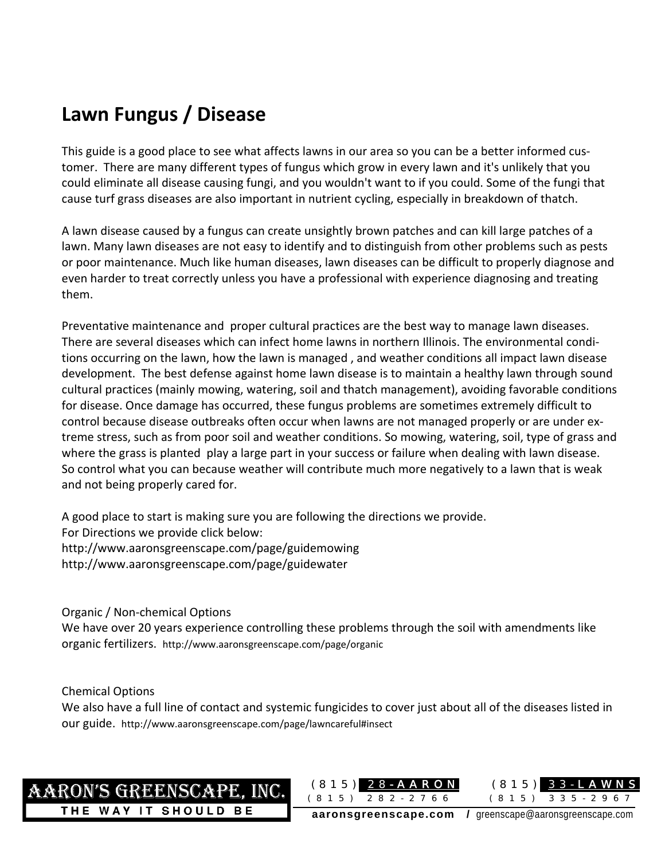# **Lawn Fungus / Disease**

This guide is a good place to see what affects lawns in our area so you can be a better informed cus‐ tomer. There are many different types of fungus which grow in every lawn and it's unlikely that you could eliminate all disease causing fungi, and you wouldn't want to if you could. Some of the fungi that cause turf grass diseases are also important in nutrient cycling, especially in breakdown of thatch.

A lawn disease caused by a fungus can create unsightly brown patches and can kill large patches of a lawn. Many lawn diseases are not easy to identify and to distinguish from other problems such as pests or poor maintenance. Much like human diseases, lawn diseases can be difficult to properly diagnose and even harder to treat correctly unless you have a professional with experience diagnosing and treating them.

Preventative maintenance and proper cultural practices are the best way to manage lawn diseases. There are several diseases which can infect home lawns in northern Illinois. The environmental condi‐ tions occurring on the lawn, how the lawn is managed , and weather conditions all impact lawn disease development. The best defense against home lawn disease is to maintain a healthy lawn through sound cultural practices (mainly mowing, watering, soil and thatch management), avoiding favorable conditions for disease. Once damage has occurred, these fungus problems are sometimes extremely difficult to control because disease outbreaks often occur when lawns are not managed properly or are under ex‐ treme stress, such as from poor soil and weather conditions. So mowing, watering, soil, type of grass and where the grass is planted play a large part in your success or failure when dealing with lawn disease. So control what you can because weather will contribute much more negatively to a lawn that is weak and not being properly cared for.

A good place to start is making sure you are following the directions we provide. For Directions we provide click below: http://www.aaronsgreenscape.com/page/guidemowing http://www.aaronsgreenscape.com/page/guidewater

#### Organic / Non‐chemical Options

We have over 20 years experience controlling these problems through the soil with amendments like organic fertilizers. http://www.aaronsgreenscape.com/page/organic

Chemical Options

We also have a full line of contact and systemic fungicides to cover just about all of the diseases listed in our guide. http://www.aaronsgreenscape.com/page/lawncareful#insect





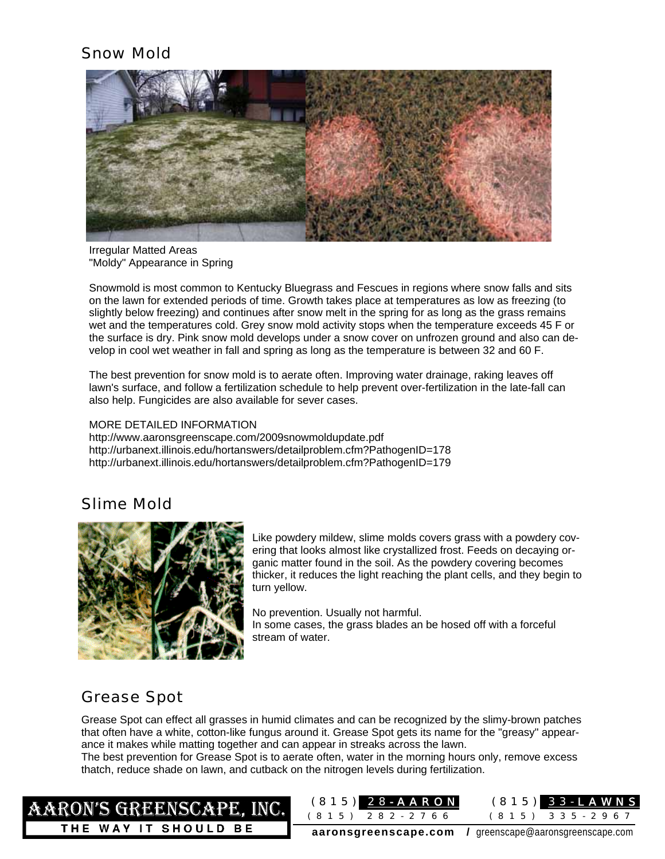## *Snow Mold*



Irregular Matted Areas "Moldy" Appearance in Spring

Snowmold is most common to Kentucky Bluegrass and Fescues in regions where snow falls and sits on the lawn for extended periods of time. Growth takes place at temperatures as low as freezing (to slightly below freezing) and continues after snow melt in the spring for as long as the grass remains wet and the temperatures cold. Grey snow mold activity stops when the temperature exceeds 45 F or the surface is dry. Pink snow mold develops under a snow cover on unfrozen ground and also can develop in cool wet weather in fall and spring as long as the temperature is between 32 and 60 F.

The best prevention for snow mold is to aerate often. Improving water drainage, raking leaves off lawn's surface, and follow a fertilization schedule to help prevent over-fertilization in the late-fall can also help. Fungicides are also available for sever cases.

#### MORE DETAILED INFORMATION

http://www.aaronsgreenscape.com/2009snowmoldupdate.pdf http://urbanext.illinois.edu/hortanswers/detailproblem.cfm?PathogenID=178 http://urbanext.illinois.edu/hortanswers/detailproblem.cfm?PathogenID=179

## *Slime Mold*



Like powdery mildew, slime molds covers grass with a powdery covering that looks almost like crystallized frost. Feeds on decaying organic matter found in the soil. As the powdery covering becomes thicker, it reduces the light reaching the plant cells, and they begin to turn yellow.

No prevention. Usually not harmful. In some cases, the grass blades an be hosed off with a forceful stream of water.

## *Grease Spot*

Grease Spot can effect all grasses in humid climates and can be recognized by the slimy-brown patches that often have a white, cotton-like fungus around it. Grease Spot gets its name for the "greasy" appearance it makes while matting together and can appear in streaks across the lawn.

The best prevention for Grease Spot is to aerate often, water in the morning hours only, remove excess thatch, reduce shade on lawn, and cutback on the nitrogen levels during fertilization.





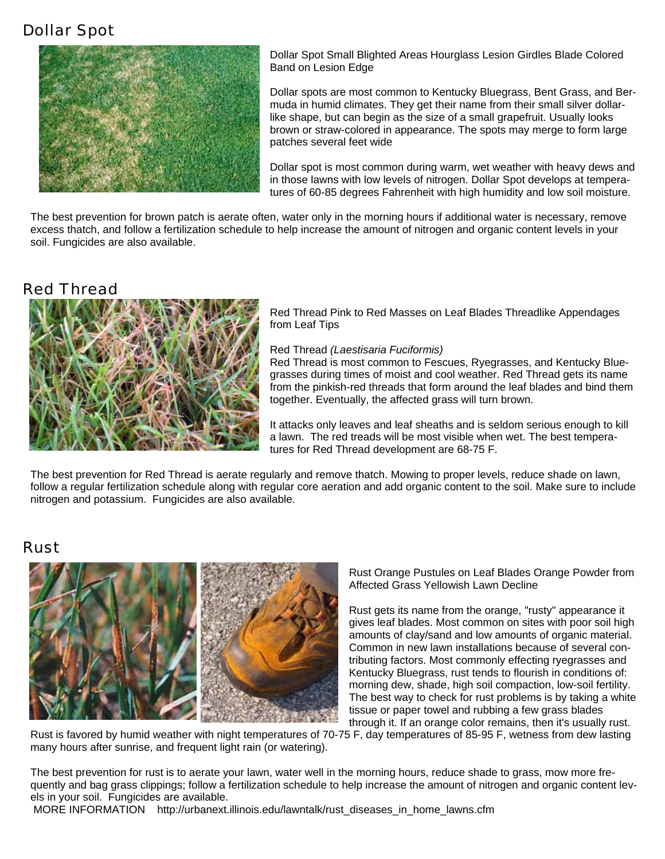## *Dollar Spot*



Dollar Spot Small Blighted Areas Hourglass Lesion Girdles Blade Colored Band on Lesion Edge

Dollar spots are most common to Kentucky Bluegrass, Bent Grass, and Bermuda in humid climates. They get their name from their small silver dollarlike shape, but can begin as the size of a small grapefruit. Usually looks brown or straw-colored in appearance. The spots may merge to form large patches several feet wide

Dollar spot is most common during warm, wet weather with heavy dews and in those lawns with low levels of nitrogen. Dollar Spot develops at temperatures of 60-85 degrees Fahrenheit with high humidity and low soil moisture.

The best prevention for brown patch is aerate often, water only in the morning hours if additional water is necessary, remove excess thatch, and follow a fertilization schedule to help increase the amount of nitrogen and organic content levels in your soil. Fungicides are also available.

## *Red Thread*



Red Thread Pink to Red Masses on Leaf Blades Threadlike Appendages from Leaf Tips

#### Red Thread *(Laestisaria Fuciformis)*

Red Thread is most common to Fescues, Ryegrasses, and Kentucky Bluegrasses during times of moist and cool weather. Red Thread gets its name from the pinkish-red threads that form around the leaf blades and bind them together. Eventually, the affected grass will turn brown.

It attacks only leaves and leaf sheaths and is seldom serious enough to kill a lawn. The red treads will be most visible when wet. The best temperatures for Red Thread development are 68-75 F.

The best prevention for Red Thread is aerate regularly and remove thatch. Mowing to proper levels, reduce shade on lawn, follow a regular fertilization schedule along with regular core aeration and add organic content to the soil. Make sure to include nitrogen and potassium. Fungicides are also available.

### *Rust*



Rust Orange Pustules on Leaf Blades Orange Powder from Affected Grass Yellowish Lawn Decline

Rust gets its name from the orange, "rusty" appearance it gives leaf blades. Most common on sites with poor soil high amounts of clay/sand and low amounts of organic material. Common in new lawn installations because of several contributing factors. Most commonly effecting ryegrasses and Kentucky Bluegrass, rust tends to flourish in conditions of: morning dew, shade, high soil compaction, low-soil fertility. The best way to check for rust problems is by taking a white tissue or paper towel and rubbing a few grass blades through it. If an orange color remains, then it's usually rust.

Rust is favored by humid weather with night temperatures of 70-75 F, day temperatures of 85-95 F, wetness from dew lasting many hours after sunrise, and frequent light rain (or watering).

The best prevention for rust is to aerate your lawn, water well in the morning hours, reduce shade to grass, mow more frequently and bag grass clippings; follow a fertilization schedule to help increase the amount of nitrogen and organic content levels in your soil. Fungicides are available.

MORE INFORMATION http://urbanext.illinois.edu/lawntalk/rust\_diseases\_in\_home\_lawns.cfm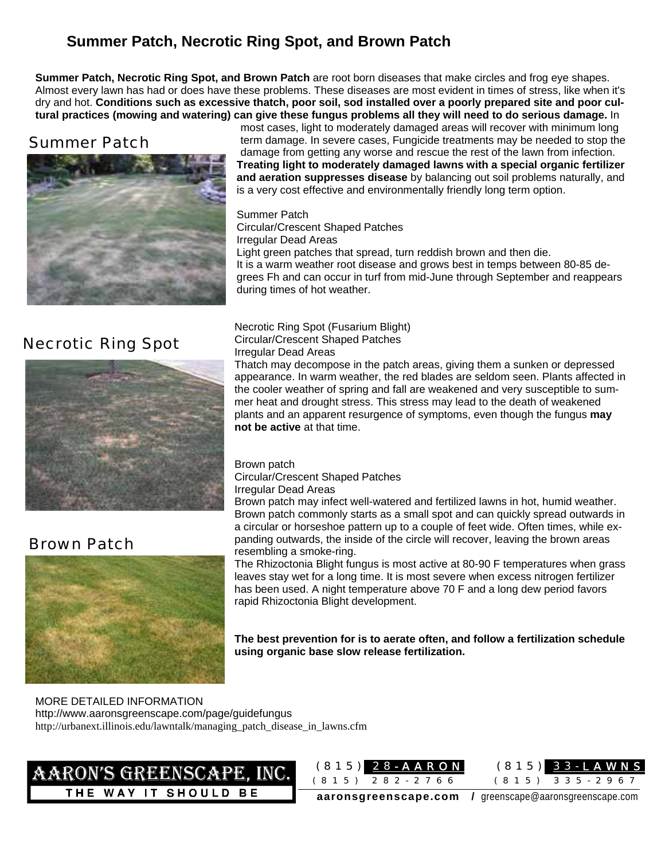## **Summer Patch, Necrotic Ring Spot, and Brown Patch**

**Summer Patch, Necrotic Ring Spot, and Brown Patch** are root born diseases that make circles and frog eye shapes. Almost every lawn has had or does have these problems. These diseases are most evident in times of stress, like when it's dry and hot. **Conditions such as excessive thatch, poor soil, sod installed over a poorly prepared site and poor cultural practices (mowing and watering) can give these fungus problems all they will need to do serious damage.** In

### *Summer Patch*



## *Necrotic Ring Spot*



## *Brown Patch*



most cases, light to moderately damaged areas will recover with minimum long term damage. In severe cases, Fungicide treatments may be needed to stop the damage from getting any worse and rescue the rest of the lawn from infection. **Treating light to moderately damaged lawns with a special organic fertilizer and aeration suppresses disease** by balancing out soil problems naturally, and is a very cost effective and environmentally friendly long term option.

#### Summer Patch

Circular/Crescent Shaped Patches Irregular Dead Areas Light green patches that spread, turn reddish brown and then die.

It is a warm weather root disease and grows best in temps between 80-85 degrees Fh and can occur in turf from mid-June through September and reappears during times of hot weather.

#### Necrotic Ring Spot (Fusarium Blight) Circular/Crescent Shaped Patches Irregular Dead Areas

Thatch may decompose in the patch areas, giving them a sunken or depressed appearance. In warm weather, the red blades are seldom seen. Plants affected in the cooler weather of spring and fall are weakened and very susceptible to summer heat and drought stress. This stress may lead to the death of weakened plants and an apparent resurgence of symptoms, even though the fungus **may not be active** at that time.

#### Brown patch

Circular/Crescent Shaped Patches Irregular Dead Areas

Brown patch may infect well-watered and fertilized lawns in hot, humid weather. Brown patch commonly starts as a small spot and can quickly spread outwards in a circular or horseshoe pattern up to a couple of feet wide. Often times, while expanding outwards, the inside of the circle will recover, leaving the brown areas resembling a smoke-ring.

The Rhizoctonia Blight fungus is most active at 80-90 F temperatures when grass leaves stay wet for a long time. It is most severe when excess nitrogen fertilizer has been used. A night temperature above 70 F and a long dew period favors rapid Rhizoctonia Blight development.

**The best prevention for is to aerate often, and follow a fertilization schedule using organic base slow release fertilization.** 

#### MORE DETAILED INFORMATION

http://www.aaronsgreenscape.com/page/guidefungus http://urbanext.illinois.edu/lawntalk/managing\_patch\_disease\_in\_lawns.cfm

### ARON'S GREENSCAPE, INC THE WAY IT SHOULD BE





**aaronsgreenscape.com /** greenscape@aaronsgreenscape.com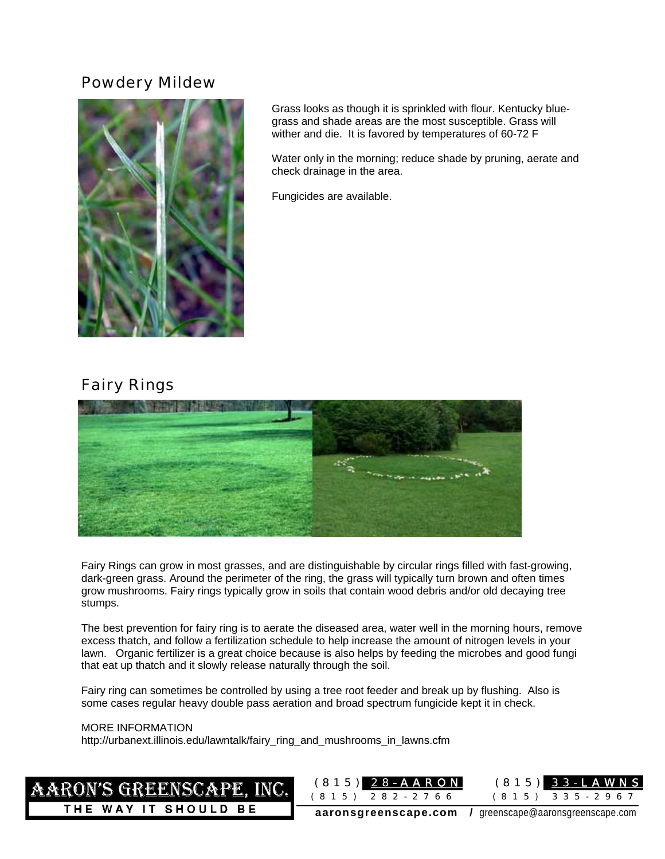### *Powdery Mildew*



Grass looks as though it is sprinkled with flour. Kentucky bluegrass and shade areas are the most susceptible. Grass will wither and die. It is favored by temperatures of 60-72 F

Water only in the morning; reduce shade by pruning, aerate and check drainage in the area.

Fungicides are available.

## *Fairy Rings*



Fairy Rings can grow in most grasses, and are distinguishable by circular rings filled with fast-growing, dark-green grass. Around the perimeter of the ring, the grass will typically turn brown and often times grow mushrooms. Fairy rings typically grow in soils that contain wood debris and/or old decaying tree stumps.

The best prevention for fairy ring is to aerate the diseased area, water well in the morning hours, remove excess thatch, and follow a fertilization schedule to help increase the amount of nitrogen levels in your lawn. Organic fertilizer is a great choice because is also helps by feeding the microbes and good fungi that eat up thatch and it slowly release naturally through the soil.

Fairy ring can sometimes be controlled by using a tree root feeder and break up by flushing. Also is some cases regular heavy double pass aeration and broad spectrum fungicide kept it in check.

#### MORE INFORMATION

http://urbanext.illinois.edu/lawntalk/fairy\_ring\_and\_mushrooms\_in\_lawns.cfm

ARON'S GREENSCAPE, INC THE WAY IT SHOULD BE

*(815) 28 - AARON (815) 33 - L (815) 282-2766 (815) 335-2967*